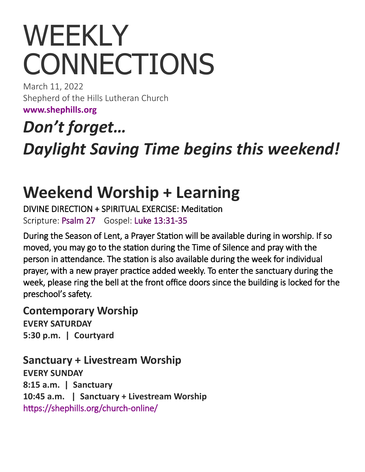# WEEKLY **CONNECTIONS**

March 11, 2022 Shepherd of the Hills Lutheran Church

**[www.shephills.org](http://www.shephills.org)**

*Don't forget…*

*Daylight Saving Time begins this weekend!*

## **Weekend Worship + Learning**

DIVINE DIRECTION + SPIRITUAL EXERCISE: Meditation Scripture: [Psalm 27](https://www.biblegateway.com/passage/?search=Psalm+27+&version=NRSV) Gospel: [Luke 13:31](https://www.biblegateway.com/passage/?search=Luke+13%3A31-35+&version=NRSV)-35

During the Season of Lent, a Prayer Station will be available during in worship. If so moved, you may go to the station during the Time of Silence and pray with the person in attendance. The station is also available during the week for individual prayer, with a new prayer practice added weekly. To enter the sanctuary during the week, please ring the bell at the front office doors since the building is locked for the preschool's safety.

**Contemporary Worship EVERY SATURDAY**

**5:30 p.m. | Courtyard** 

**Sanctuary + Livestream Worship EVERY SUNDAY 8:15 a.m. | Sanctuary 10:45 a.m. | Sanctuary + Livestream Worship**  [https://shephills.org/church](https://shephills.org/church-online/)-online/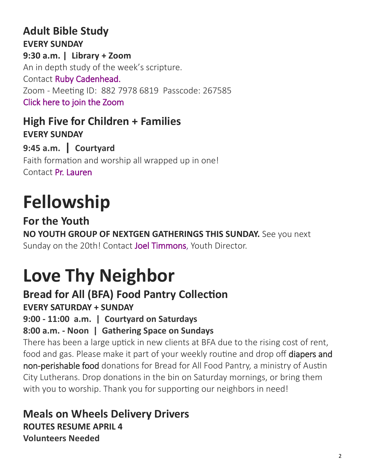#### **Adult Bible Study EVERY SUNDAY 9:30 a.m. | Library + Zoom** An in depth study of the week's scripture. Contact [Ruby Cadenhead.](mailto:rubies61@gmail.com) Zoom - Meeting ID: 882 7978 6819 Passcode: 267585 [Click here to join the Zoom](https://us02web.zoom.us/j/88279786819?pwd=Uytzc1NsT0xCWlM5dnVCMlBFZ1djUT09)

**High Five for Children + Families EVERY SUNDAY 9:45 a.m. | Courtyard** 

Faith formation and worship all wrapped up in one! Contact [Pr. Lauren](mailto:lauren@shephills.org)

## **Fellowship**

**For the Youth NO YOUTH GROUP OF NEXTGEN GATHERINGS THIS SUNDAY.** See you next Sunday on the 20th! Contact [Joel Timmons,](mailto:joel@shephills.org) Youth Director.

## **Love Thy Neighbor**

## **Bread for All (BFA) Food Pantry Collection**

**EVERY SATURDAY + SUNDAY**

**9:00 - 11:00 a.m. | Courtyard on Saturdays**

### **8:00 a.m. - Noon | Gathering Space on Sundays**

There has been a large uptick in new clients at BFA due to the rising cost of rent, food and gas. Please make it part of your weekly routine and drop off diapers and non-perishable food donations for Bread for All Food Pantry, a ministry of Austin City Lutherans. Drop donations in the bin on Saturday mornings, or bring them with you to worship. Thank you for supporting our neighbors in need!

**Meals on Wheels Delivery Drivers ROUTES RESUME APRIL 4 Volunteers Needed**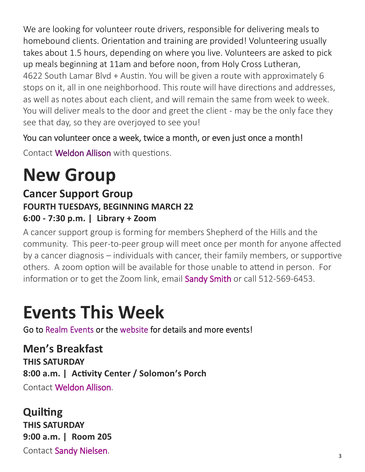We are looking for volunteer route drivers, responsible for delivering meals to homebound clients. Orientation and training are provided! Volunteering usually takes about 1.5 hours, depending on where you live. Volunteers are asked to pick up meals beginning at 11am and before noon, from Holy Cross Lutheran, 4622 South Lamar Blvd + Austin. You will be given a route with approximately 6 stops on it, all in one neighborhood. This route will have directions and addresses, as well as notes about each client, and will remain the same from week to week. You will deliver meals to the door and greet the client - may be the only face they see that day, so they are overjoyed to see you!

#### You can volunteer once a week, twice a month, or even just once a month!

Contact [Weldon Allison](mailto:Weldon.allison.46@gmail.com) with questions.

## **New Group**

### **Cancer Support Group FOURTH TUESDAYS, BEGINNING MARCH 22 6:00 - 7:30 p.m. | Library + Zoom**

A cancer support group is forming for members Shepherd of the Hills and the community. This peer-to-peer group will meet once per month for anyone affected by a cancer diagnosis – individuals with cancer, their family members, or supportive others. A zoom option will be available for those unable to attend in person. For information or to get the Zoom link, email [Sandy Smith](mailto:texas.sandysmith@gmail.com) or call 512-569-6453.

## **Events This Week**

Go to Realm Events or the website for details and more events!

## **Men's Breakfast**

**THIS SATURDAY 8:00 a.m. | Activity Center / Solomon's Porch** Contact [Weldon Allison.](mailto:Weldon.allison.46@gmail.com)

**Quilting THIS SATURDAY 9:00 a.m. | Room 205** Contact [Sandy Nielsen.](mailto:sandynielsen6973@gmail.com)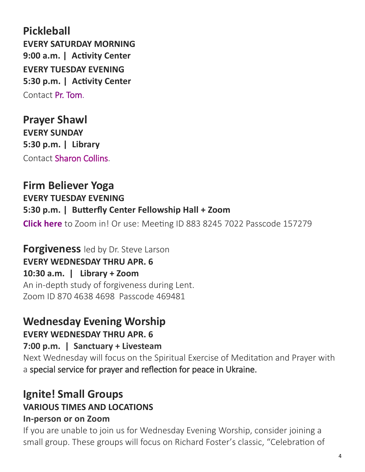**Pickleball EVERY SATURDAY MORNING 9:00 a.m. | Activity Center EVERY TUESDAY EVENING 5:30 p.m. | Activity Center** Contact [Pr. Tom.](mailto:tom@shephills.org) 

**Prayer Shawl EVERY SUNDAY 5:30 p.m. | Library** Contact [Sharon Collins.](mailto:shleecollins@gmail.com)

#### **Firm Believer Yoga**

**EVERY TUESDAY EVENING** 

#### **5:30 p.m. | Butterfly Center Fellowship Hall + Zoom**

**[Click here](https://us02web.zoom.us/j/88382457022?pwd=NEtNVjlCcWkxQVV3OUR4eVlsNzkxdz09)** to Zoom in! Or use: Meeting ID 883 8245 7022 Passcode 157279

**Forgiveness** led by Dr. Steve Larson **EVERY WEDNESDAY THRU APR. 6 10:30 a.m. | Library + Zoom** An in-depth study of forgiveness during Lent. Zoom ID 870 4638 4698 Passcode 469481

## **Wednesday Evening Worship**

**EVERY WEDNESDAY THRU APR. 6**

**7:00 p.m. | Sanctuary + Livesteam**

Next Wednesday will focus on the Spiritual Exercise of Meditation and Prayer with a special service for prayer and reflection for peace in Ukraine.

#### **Ignite! Small Groups VARIOUS TIMES AND LOCATIONS In-person or on Zoom**

If you are unable to join us for Wednesday Evening Worship, consider joining a small group. These groups will focus on Richard Foster's classic, "Celebration of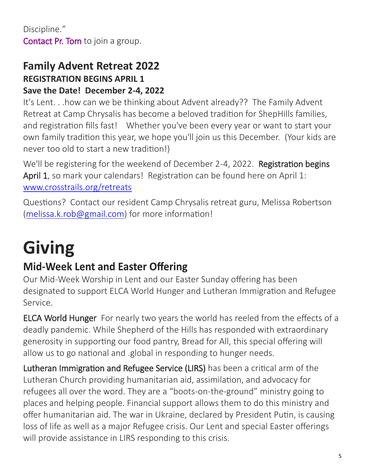#### **Family Advent Retreat 2022 REGISTRATION BEGINS APRIL 1 Save the Date! December 2-4, 2022**

It's Lent. . .how can we be thinking about Advent already?? The Family Advent Retreat at Camp Chrysalis has become a beloved tradition for ShepHills families, and registration fills fast! Whether you've been every year or want to start your own family tradition this year, we hope you'll join us this December. (Your kids are never too old to start a new tradition!)

We'll be registering for the weekend of December 2-4, 2022. **Registration begins** April 1, so mark your calendars! Registration can be found here on April 1: [www.crosstrails.org/retreats](http://www.crosstrails.org/retreats)

Questions? Contact our resident Camp Chrysalis retreat guru, Melissa Robertson ([melissa.k.rob@gmail.com\)](mailto:melissa.k.rob@gmail.com) for more information!

## **Giving**

## **Mid-Week Lent and Easter Offering**

Our Mid-Week Worship in Lent and our Easter Sunday offering has been designated to support ELCA World Hunger and Lutheran Immigration and Refugee Service.

ELCA World Hunger For nearly two years the world has reeled from the effects of a deadly pandemic. While Shepherd of the Hills has responded with extraordinary generosity in supporting our food pantry, Bread for All, this special offering will allow us to go national and .global in responding to hunger needs.

Lutheran Immigration and Refugee Service (LIRS) has been a critical arm of the Lutheran Church providing humanitarian aid, assimilation, and advocacy for refugees all over the word. They are a "boots-on-the-ground" ministry going to places and helping people. Financial support allows them to do this ministry and offer humanitarian aid. The war in Ukraine, declared by President Putin, is causing loss of life as well as a major Refugee crisis. Our Lent and special Easter offerings will provide assistance in LIRS responding to this crisis.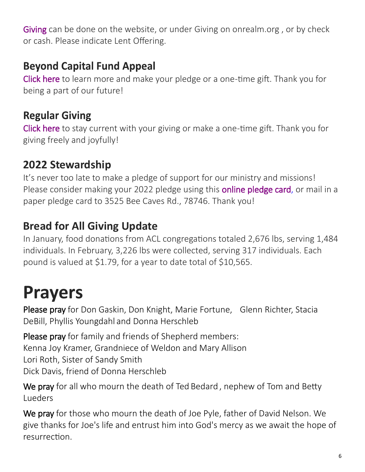[Giving c](http://www.shephills.org/give/)an be done on the website, or under Giving on onrealm.org, or by check or cash. Please indicate Lent Offering.

### **Beyond Capital Fund Appeal**

[Click here](https://shephills.org/beyond/) to learn more and make your pledge or a one-time gift. Thank you for being a part of our future!

### **Regular Giving**

[Click here](https://shephills.org/give/) to stay current with your giving or make a one-time gift. Thank you for giving freely and joyfully!

### **2022 Stewardship**

It's never too late to make a pledge of support for our ministry and missions! Please consider making your 2022 pledge using this **online pledge card**, or mail in a paper pledge card to 3525 Bee Caves Rd., 78746. Thank you!

### **Bread for All Giving Update**

In January, food donations from ACL congregations totaled 2,676 lbs, serving 1,484 individuals. In February, 3,226 lbs were collected, serving 317 individuals. Each pound is valued at \$1.79, for a year to date total of \$10,565.

## **Prayers**

Please pray for Don Gaskin, Don Knight, Marie Fortune, Glenn Richter, Stacia DeBill, Phyllis Youngdahl and Donna Herschleb

Please pray for family and friends of Shepherd members: Kenna Joy Kramer, Grandniece of Weldon and Mary Allison Lori Roth, Sister of Sandy Smith Dick Davis, friend of Donna Herschleb

We pray for all who mourn the death of Ted Bedard, nephew of Tom and Betty Lueders

We pray for those who mourn the death of Joe Pyle, father of David Nelson. We give thanks for Joe's life and entrust him into God's mercy as we await the hope of resurrection.